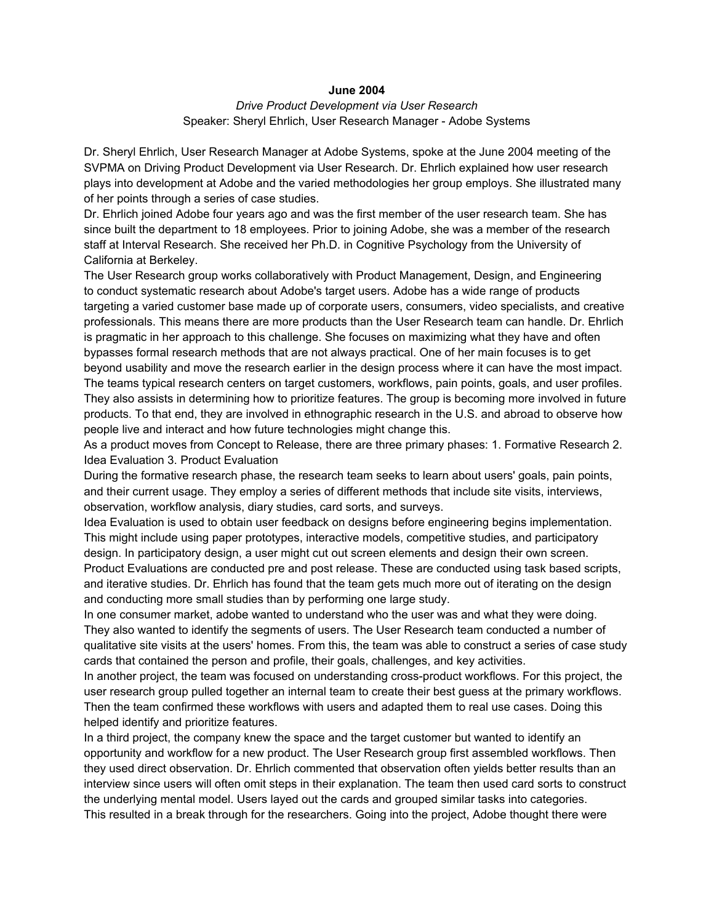## **June 2004**

## *Drive Product Development via User Research* Speaker: Sheryl Ehrlich, User Research Manager - Adobe Systems

Dr. Sheryl Ehrlich, User Research Manager at Adobe Systems, spoke at the June 2004 meeting of the SVPMA on Driving Product Development via User Research. Dr. Ehrlich explained how user research plays into development at Adobe and the varied methodologies her group employs. She illustrated many of her points through a series of case studies.

Dr. Ehrlich joined Adobe four years ago and was the first member of the user research team. She has since built the department to 18 employees. Prior to joining Adobe, she was a member of the research staff at Interval Research. She received her Ph.D. in Cognitive Psychology from the University of California at Berkeley.

The User Research group works collaboratively with Product Management, Design, and Engineering to conduct systematic research about Adobe's target users. Adobe has a wide range of products targeting a varied customer base made up of corporate users, consumers, video specialists, and creative professionals. This means there are more products than the User Research team can handle. Dr. Ehrlich is pragmatic in her approach to this challenge. She focuses on maximizing what they have and often bypasses formal research methods that are not always practical. One of her main focuses is to get beyond usability and move the research earlier in the design process where it can have the most impact. The teams typical research centers on target customers, workflows, pain points, goals, and user profiles. They also assists in determining how to prioritize features. The group is becoming more involved in future products. To that end, they are involved in ethnographic research in the U.S. and abroad to observe how people live and interact and how future technologies might change this.

As a product moves from Concept to Release, there are three primary phases: 1. Formative Research 2. Idea Evaluation 3. Product Evaluation

During the formative research phase, the research team seeks to learn about users' goals, pain points, and their current usage. They employ a series of different methods that include site visits, interviews, observation, workflow analysis, diary studies, card sorts, and surveys.

Idea Evaluation is used to obtain user feedback on designs before engineering begins implementation. This might include using paper prototypes, interactive models, competitive studies, and participatory design. In participatory design, a user might cut out screen elements and design their own screen. Product Evaluations are conducted pre and post release. These are conducted using task based scripts, and iterative studies. Dr. Ehrlich has found that the team gets much more out of iterating on the design and conducting more small studies than by performing one large study.

In one consumer market, adobe wanted to understand who the user was and what they were doing. They also wanted to identify the segments of users. The User Research team conducted a number of qualitative site visits at the users' homes. From this, the team was able to construct a series of case study cards that contained the person and profile, their goals, challenges, and key activities.

In another project, the team was focused on understanding cross-product workflows. For this project, the user research group pulled together an internal team to create their best guess at the primary workflows. Then the team confirmed these workflows with users and adapted them to real use cases. Doing this helped identify and prioritize features.

In a third project, the company knew the space and the target customer but wanted to identify an opportunity and workflow for a new product. The User Research group first assembled workflows. Then they used direct observation. Dr. Ehrlich commented that observation often yields better results than an interview since users will often omit steps in their explanation. The team then used card sorts to construct the underlying mental model. Users layed out the cards and grouped similar tasks into categories. This resulted in a break through for the researchers. Going into the project, Adobe thought there were